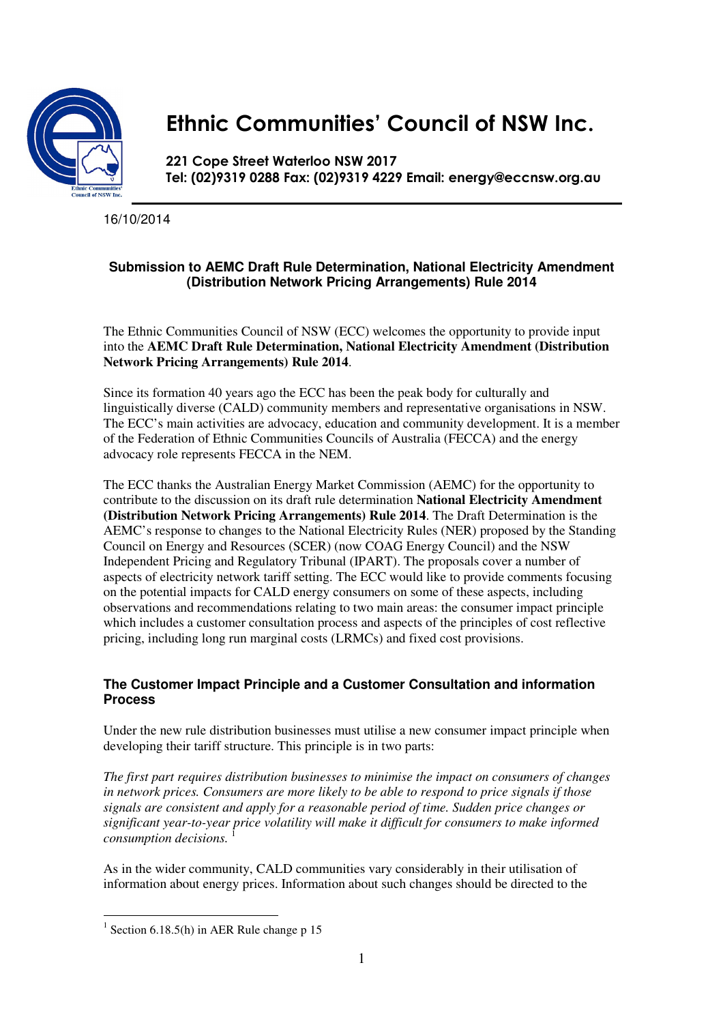

# Ethnic Communities' Council of NSW Inc.

221 Cope Street Waterloo NSW 2017 Tel: (02)9319 0288 Fax: (02)9319 4229 Email: energy@eccnsw.org.au

16/10/2014

## **Submission to AEMC Draft Rule Determination, National Electricity Amendment (Distribution Network Pricing Arrangements) Rule 2014**

The Ethnic Communities Council of NSW (ECC) welcomes the opportunity to provide input into the **AEMC Draft Rule Determination, National Electricity Amendment (Distribution Network Pricing Arrangements) Rule 2014**.

Since its formation 40 years ago the ECC has been the peak body for culturally and linguistically diverse (CALD) community members and representative organisations in NSW. The ECC's main activities are advocacy, education and community development. It is a member of the Federation of Ethnic Communities Councils of Australia (FECCA) and the energy advocacy role represents FECCA in the NEM.

The ECC thanks the Australian Energy Market Commission (AEMC) for the opportunity to contribute to the discussion on its draft rule determination **National Electricity Amendment (Distribution Network Pricing Arrangements) Rule 2014**. The Draft Determination is the AEMC's response to changes to the National Electricity Rules (NER) proposed by the Standing Council on Energy and Resources (SCER) (now COAG Energy Council) and the NSW Independent Pricing and Regulatory Tribunal (IPART). The proposals cover a number of aspects of electricity network tariff setting. The ECC would like to provide comments focusing on the potential impacts for CALD energy consumers on some of these aspects, including observations and recommendations relating to two main areas: the consumer impact principle which includes a customer consultation process and aspects of the principles of cost reflective pricing, including long run marginal costs (LRMCs) and fixed cost provisions.

### **The Customer Impact Principle and a Customer Consultation and information Process**

Under the new rule distribution businesses must utilise a new consumer impact principle when developing their tariff structure. This principle is in two parts:

*The first part requires distribution businesses to minimise the impact on consumers of changes in network prices. Consumers are more likely to be able to respond to price signals if those signals are consistent and apply for a reasonable period of time. Sudden price changes or significant year-to-year price volatility will make it difficult for consumers to make informed consumption decisions.* <sup>1</sup>

As in the wider community, CALD communities vary considerably in their utilisation of information about energy prices. Information about such changes should be directed to the

 $\overline{a}$ 

<sup>&</sup>lt;sup>1</sup> Section 6.18.5(h) in AER Rule change  $p$  15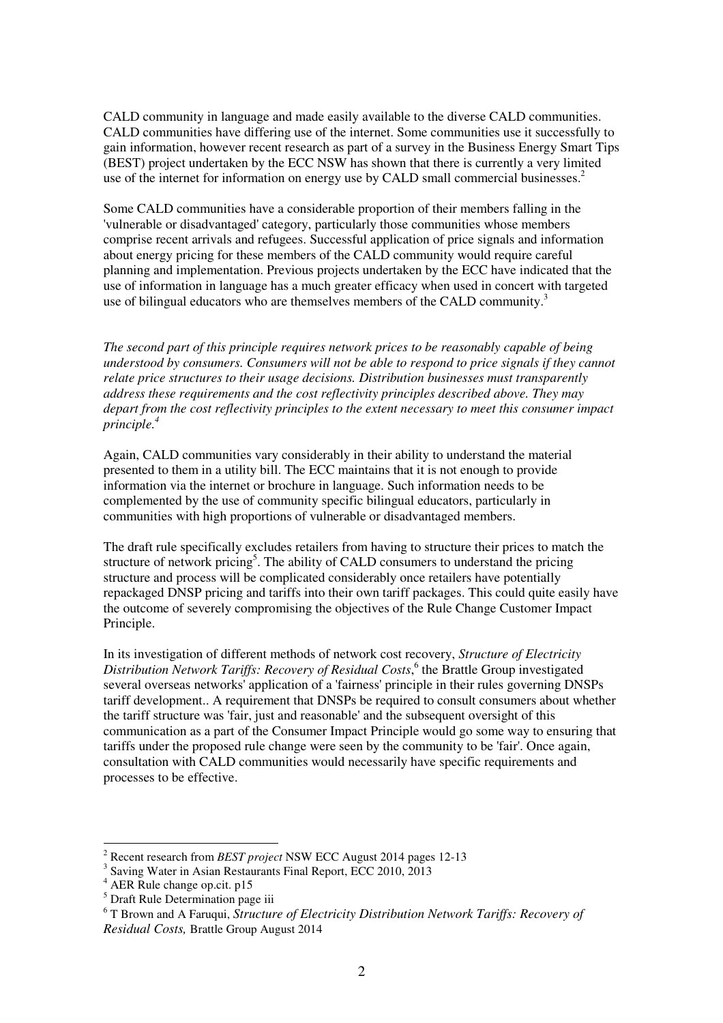CALD community in language and made easily available to the diverse CALD communities. CALD communities have differing use of the internet. Some communities use it successfully to gain information, however recent research as part of a survey in the Business Energy Smart Tips (BEST) project undertaken by the ECC NSW has shown that there is currently a very limited use of the internet for information on energy use by CALD small commercial businesses.<sup>2</sup>

Some CALD communities have a considerable proportion of their members falling in the 'vulnerable or disadvantaged' category, particularly those communities whose members comprise recent arrivals and refugees. Successful application of price signals and information about energy pricing for these members of the CALD community would require careful planning and implementation. Previous projects undertaken by the ECC have indicated that the use of information in language has a much greater efficacy when used in concert with targeted use of bilingual educators who are themselves members of the CALD community.<sup>3</sup>

*The second part of this principle requires network prices to be reasonably capable of being understood by consumers. Consumers will not be able to respond to price signals if they cannot relate price structures to their usage decisions. Distribution businesses must transparently address these requirements and the cost reflectivity principles described above. They may depart from the cost reflectivity principles to the extent necessary to meet this consumer impact principle.<sup>4</sup>*

Again, CALD communities vary considerably in their ability to understand the material presented to them in a utility bill. The ECC maintains that it is not enough to provide information via the internet or brochure in language. Such information needs to be complemented by the use of community specific bilingual educators, particularly in communities with high proportions of vulnerable or disadvantaged members.

The draft rule specifically excludes retailers from having to structure their prices to match the structure of network pricing<sup>5</sup>. The ability of CALD consumers to understand the pricing structure and process will be complicated considerably once retailers have potentially repackaged DNSP pricing and tariffs into their own tariff packages. This could quite easily have the outcome of severely compromising the objectives of the Rule Change Customer Impact Principle.

In its investigation of different methods of network cost recovery, *Structure of Electricity*  Distribution Network Tariffs: Recovery of Residual Costs,<sup>6</sup> the Brattle Group investigated several overseas networks' application of a 'fairness' principle in their rules governing DNSPs tariff development.. A requirement that DNSPs be required to consult consumers about whether the tariff structure was 'fair, just and reasonable' and the subsequent oversight of this communication as a part of the Consumer Impact Principle would go some way to ensuring that tariffs under the proposed rule change were seen by the community to be 'fair'. Once again, consultation with CALD communities would necessarily have specific requirements and processes to be effective.

 $\overline{a}$ 

<sup>2</sup> Recent research from *BEST project* NSW ECC August 2014 pages 12-13

<sup>&</sup>lt;sup>3</sup> Saving Water in Asian Restaurants Final Report, ECC 2010, 2013

<sup>4</sup> AER Rule change op.cit. p15

<sup>&</sup>lt;sup>5</sup> Draft Rule Determination page iii

<sup>&</sup>lt;sup>6</sup> T Brown and A Faruqui, *Structure of Electricity Distribution Network Tariffs: Recovery of Residual Costs,* Brattle Group August 2014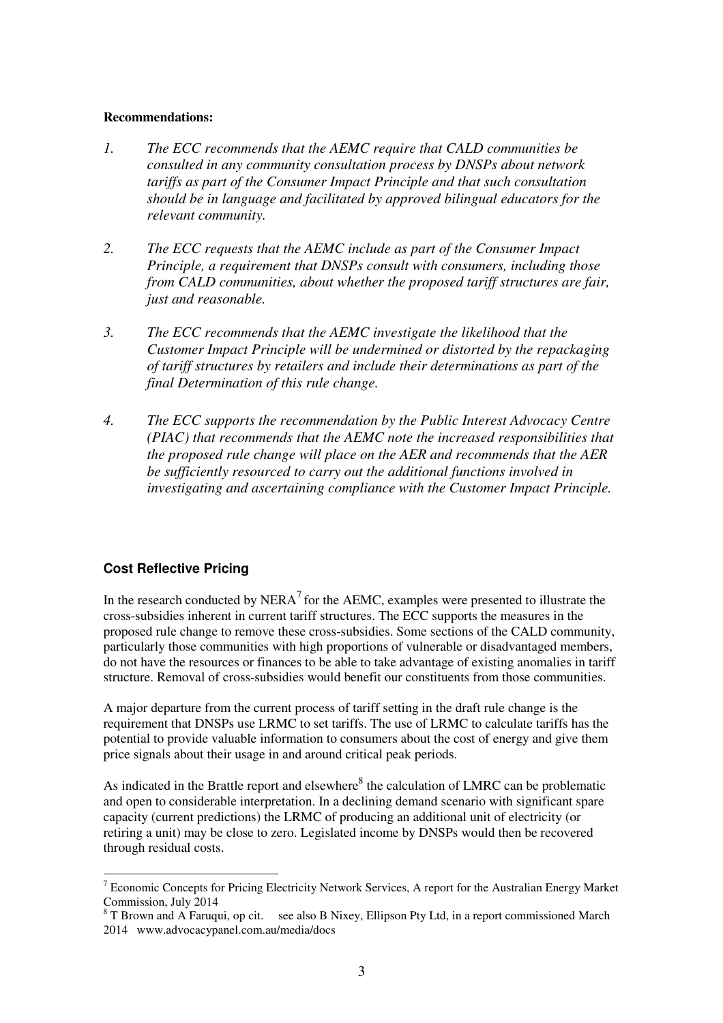#### **Recommendations:**

- *1. The ECC recommends that the AEMC require that CALD communities be consulted in any community consultation process by DNSPs about network tariffs as part of the Consumer Impact Principle and that such consultation should be in language and facilitated by approved bilingual educators for the relevant community.*
- *2. The ECC requests that the AEMC include as part of the Consumer Impact Principle, a requirement that DNSPs consult with consumers, including those from CALD communities, about whether the proposed tariff structures are fair, just and reasonable.*
- *3. The ECC recommends that the AEMC investigate the likelihood that the Customer Impact Principle will be undermined or distorted by the repackaging of tariff structures by retailers and include their determinations as part of the final Determination of this rule change.*
- *4. The ECC supports the recommendation by the Public Interest Advocacy Centre (PIAC) that recommends that the AEMC note the increased responsibilities that the proposed rule change will place on the AER and recommends that the AER be sufficiently resourced to carry out the additional functions involved in investigating and ascertaining compliance with the Customer Impact Principle.*

## **Cost Reflective Pricing**

In the research conducted by NERA<sup>7</sup> for the AEMC, examples were presented to illustrate the cross-subsidies inherent in current tariff structures. The ECC supports the measures in the proposed rule change to remove these cross-subsidies. Some sections of the CALD community, particularly those communities with high proportions of vulnerable or disadvantaged members, do not have the resources or finances to be able to take advantage of existing anomalies in tariff structure. Removal of cross-subsidies would benefit our constituents from those communities.

A major departure from the current process of tariff setting in the draft rule change is the requirement that DNSPs use LRMC to set tariffs. The use of LRMC to calculate tariffs has the potential to provide valuable information to consumers about the cost of energy and give them price signals about their usage in and around critical peak periods.

As indicated in the Brattle report and elsewhere $8$  the calculation of LMRC can be problematic and open to considerable interpretation. In a declining demand scenario with significant spare capacity (current predictions) the LRMC of producing an additional unit of electricity (or retiring a unit) may be close to zero. Legislated income by DNSPs would then be recovered through residual costs.

 $\overline{a}$ <sup>7</sup> Economic Concepts for Pricing Electricity Network Services, A report for the Australian Energy Market Commission, July 2014

 $8$  T Brown and A Faruqui, op cit. see also B Nixey, Ellipson Pty Ltd, in a report commissioned March 2014 www.advocacypanel.com.au/media/docs